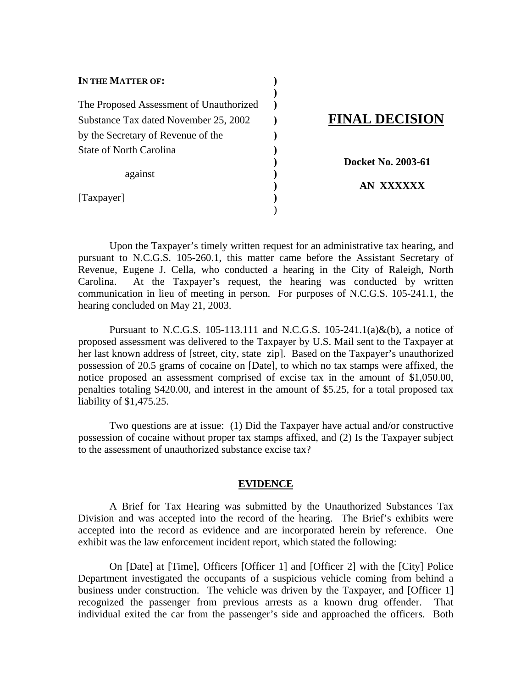| IN THE MATTER OF:                       |  |
|-----------------------------------------|--|
| The Proposed Assessment of Unauthorized |  |
| Substance Tax dated November 25, 2002   |  |
| by the Secretary of Revenue of the      |  |
| State of North Carolina                 |  |
| against                                 |  |
| [Taxpayer]                              |  |

 $)$ 

# Substance Tax dated November 25, 2002 **) FINAL DECISION**

**) Docket No. 2003-61**

**) AN XXXXXX**

 Upon the Taxpayer's timely written request for an administrative tax hearing, and pursuant to N.C.G.S. 105-260.1, this matter came before the Assistant Secretary of Revenue, Eugene J. Cella, who conducted a hearing in the City of Raleigh, North Carolina. At the Taxpayer's request, the hearing was conducted by written communication in lieu of meeting in person. For purposes of N.C.G.S. 105-241.1, the hearing concluded on May 21, 2003.

Pursuant to N.C.G.S. 105-113.111 and N.C.G.S. 105-241.1(a) $\&$ (b), a notice of proposed assessment was delivered to the Taxpayer by U.S. Mail sent to the Taxpayer at her last known address of [street, city, state zip]. Based on the Taxpayer's unauthorized possession of 20.5 grams of cocaine on [Date], to which no tax stamps were affixed, the notice proposed an assessment comprised of excise tax in the amount of \$1,050.00, penalties totaling \$420.00, and interest in the amount of \$5.25, for a total proposed tax liability of \$1,475.25.

 Two questions are at issue: (1) Did the Taxpayer have actual and/or constructive possession of cocaine without proper tax stamps affixed, and (2) Is the Taxpayer subject to the assessment of unauthorized substance excise tax?

#### **EVIDENCE**

 A Brief for Tax Hearing was submitted by the Unauthorized Substances Tax Division and was accepted into the record of the hearing. The Brief's exhibits were accepted into the record as evidence and are incorporated herein by reference. One exhibit was the law enforcement incident report, which stated the following:

On [Date] at [Time], Officers [Officer 1] and [Officer 2] with the [City] Police Department investigated the occupants of a suspicious vehicle coming from behind a business under construction. The vehicle was driven by the Taxpayer, and [Officer 1] recognized the passenger from previous arrests as a known drug offender. That individual exited the car from the passenger's side and approached the officers. Both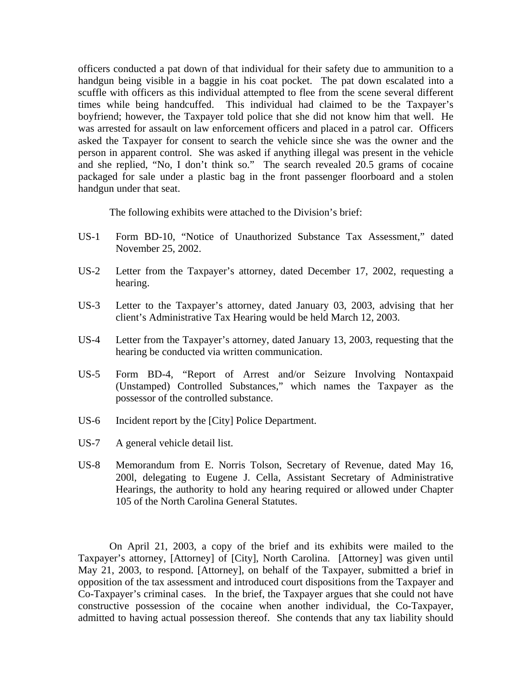officers conducted a pat down of that individual for their safety due to ammunition to a handgun being visible in a baggie in his coat pocket. The pat down escalated into a scuffle with officers as this individual attempted to flee from the scene several different times while being handcuffed. This individual had claimed to be the Taxpayer's boyfriend; however, the Taxpayer told police that she did not know him that well. He was arrested for assault on law enforcement officers and placed in a patrol car. Officers asked the Taxpayer for consent to search the vehicle since she was the owner and the person in apparent control. She was asked if anything illegal was present in the vehicle and she replied, "No, I don't think so." The search revealed 20.5 grams of cocaine packaged for sale under a plastic bag in the front passenger floorboard and a stolen handgun under that seat.

The following exhibits were attached to the Division's brief:

- US-1 Form BD-10, "Notice of Unauthorized Substance Tax Assessment," dated November 25, 2002.
- US-2 Letter from the Taxpayer's attorney, dated December 17, 2002, requesting a hearing.
- US-3 Letter to the Taxpayer's attorney, dated January 03, 2003, advising that her client's Administrative Tax Hearing would be held March 12, 2003.
- US-4 Letter from the Taxpayer's attorney, dated January 13, 2003, requesting that the hearing be conducted via written communication.
- US-5 Form BD-4, "Report of Arrest and/or Seizure Involving Nontaxpaid (Unstamped) Controlled Substances," which names the Taxpayer as the possessor of the controlled substance.
- US-6 Incident report by the [City] Police Department.
- US-7 A general vehicle detail list.
- US-8 Memorandum from E. Norris Tolson, Secretary of Revenue, dated May 16, 200l, delegating to Eugene J. Cella, Assistant Secretary of Administrative Hearings, the authority to hold any hearing required or allowed under Chapter 105 of the North Carolina General Statutes.

On April 21, 2003, a copy of the brief and its exhibits were mailed to the Taxpayer's attorney, [Attorney] of [City], North Carolina. [Attorney] was given until May 21, 2003, to respond. [Attorney], on behalf of the Taxpayer, submitted a brief in opposition of the tax assessment and introduced court dispositions from the Taxpayer and Co-Taxpayer's criminal cases. In the brief, the Taxpayer argues that she could not have constructive possession of the cocaine when another individual, the Co-Taxpayer, admitted to having actual possession thereof. She contends that any tax liability should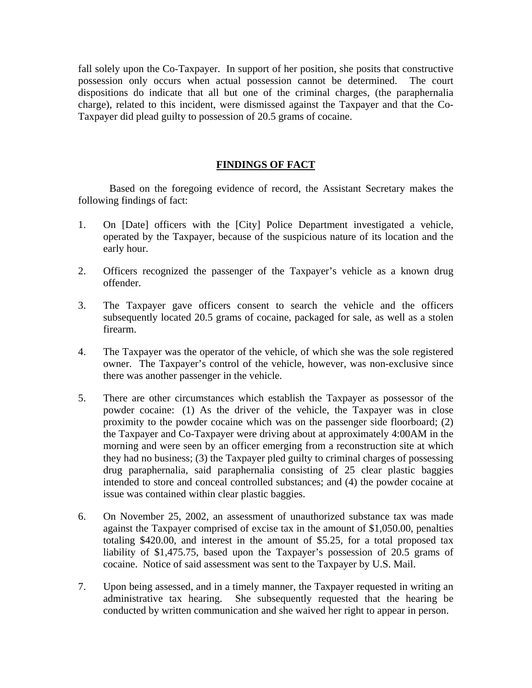fall solely upon the Co-Taxpayer. In support of her position, she posits that constructive possession only occurs when actual possession cannot be determined. The court dispositions do indicate that all but one of the criminal charges, (the paraphernalia charge), related to this incident, were dismissed against the Taxpayer and that the Co-Taxpayer did plead guilty to possession of 20.5 grams of cocaine.

### **FINDINGS OF FACT**

 Based on the foregoing evidence of record, the Assistant Secretary makes the following findings of fact:

- 1. On [Date] officers with the [City] Police Department investigated a vehicle, operated by the Taxpayer, because of the suspicious nature of its location and the early hour.
- 2. Officers recognized the passenger of the Taxpayer's vehicle as a known drug offender.
- 3. The Taxpayer gave officers consent to search the vehicle and the officers subsequently located 20.5 grams of cocaine, packaged for sale, as well as a stolen firearm.
- 4. The Taxpayer was the operator of the vehicle, of which she was the sole registered owner. The Taxpayer's control of the vehicle, however, was non-exclusive since there was another passenger in the vehicle.
- 5. There are other circumstances which establish the Taxpayer as possessor of the powder cocaine: (1) As the driver of the vehicle, the Taxpayer was in close proximity to the powder cocaine which was on the passenger side floorboard; (2) the Taxpayer and Co-Taxpayer were driving about at approximately 4:00AM in the morning and were seen by an officer emerging from a reconstruction site at which they had no business; (3) the Taxpayer pled guilty to criminal charges of possessing drug paraphernalia, said paraphernalia consisting of 25 clear plastic baggies intended to store and conceal controlled substances; and (4) the powder cocaine at issue was contained within clear plastic baggies.
- 6. On November 25, 2002, an assessment of unauthorized substance tax was made against the Taxpayer comprised of excise tax in the amount of \$1,050.00, penalties totaling \$420.00, and interest in the amount of \$5.25, for a total proposed tax liability of \$1,475.75, based upon the Taxpayer's possession of 20.5 grams of cocaine. Notice of said assessment was sent to the Taxpayer by U.S. Mail.
- 7. Upon being assessed, and in a timely manner, the Taxpayer requested in writing an administrative tax hearing. She subsequently requested that the hearing be conducted by written communication and she waived her right to appear in person.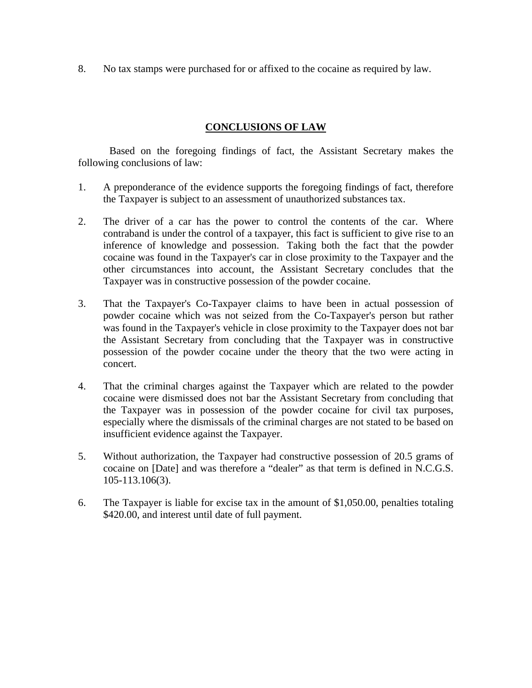8. No tax stamps were purchased for or affixed to the cocaine as required by law.

#### **CONCLUSIONS OF LAW**

 Based on the foregoing findings of fact, the Assistant Secretary makes the following conclusions of law:

- 1. A preponderance of the evidence supports the foregoing findings of fact, therefore the Taxpayer is subject to an assessment of unauthorized substances tax.
- 2. The driver of a car has the power to control the contents of the car. Where contraband is under the control of a taxpayer, this fact is sufficient to give rise to an inference of knowledge and possession. Taking both the fact that the powder cocaine was found in the Taxpayer's car in close proximity to the Taxpayer and the other circumstances into account, the Assistant Secretary concludes that the Taxpayer was in constructive possession of the powder cocaine.
- 3. That the Taxpayer's Co-Taxpayer claims to have been in actual possession of powder cocaine which was not seized from the Co-Taxpayer's person but rather was found in the Taxpayer's vehicle in close proximity to the Taxpayer does not bar the Assistant Secretary from concluding that the Taxpayer was in constructive possession of the powder cocaine under the theory that the two were acting in concert.
- 4. That the criminal charges against the Taxpayer which are related to the powder cocaine were dismissed does not bar the Assistant Secretary from concluding that the Taxpayer was in possession of the powder cocaine for civil tax purposes, especially where the dismissals of the criminal charges are not stated to be based on insufficient evidence against the Taxpayer.
- 5. Without authorization, the Taxpayer had constructive possession of 20.5 grams of cocaine on [Date] and was therefore a "dealer" as that term is defined in N.C.G.S. 105-113.106(3).
- 6. The Taxpayer is liable for excise tax in the amount of \$1,050.00, penalties totaling \$420.00, and interest until date of full payment.